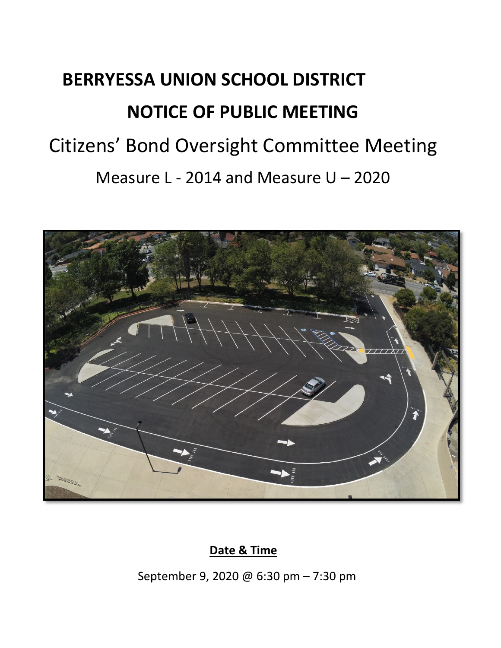# **BERRYESSA UNION SCHOOL DISTRICT NOTICE OF PUBLIC MEETING** Citizens' Bond Oversight Committee Meeting Measure L - 2014 and Measure U – 2020



## **Date & Time**

September 9, 2020 @ 6:30 pm – 7:30 pm